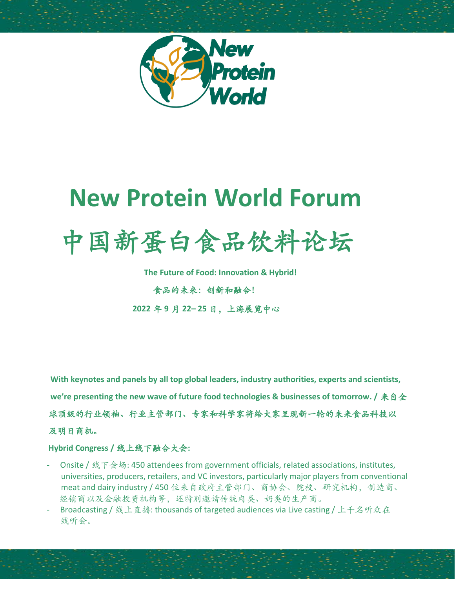

## **New Protein World Forum**

# 中国新蛋白食品饮料论坛

 **The Future of Food: Innovation & Hybrid!**

食品的未来:创新和融合! **2022** 年 **9** 月 **22– 25** 日,上海展览中心

 **With keynotes and panels by all top global leaders, industry authorities, experts and scientists, we're presenting the new wave of future food technologies & businesses of tomorrow. /** 来自全

球顶级的行业领袖、行业主管部门、专家和科学家将给大家呈现新一轮的未来食品科技以

#### 及明日商机。

#### **Hybrid Congress /** 线上线下融合大会**:**

- Onsite / 线下会场: 450 attendees from government officials, related associations, institutes, universities, producers, retailers, and VC investors, particularly major players from conventional meat and dairy industry / 450 位来自政府主管部门、商协会、院校、研究机构,制造商、 经销商以及金融投资机构等,还特别邀请传统肉类、奶类的生产商。
- Broadcasting / 线上直播: thousands of targeted audiences via Live casting / 上千名听众在 线听会。